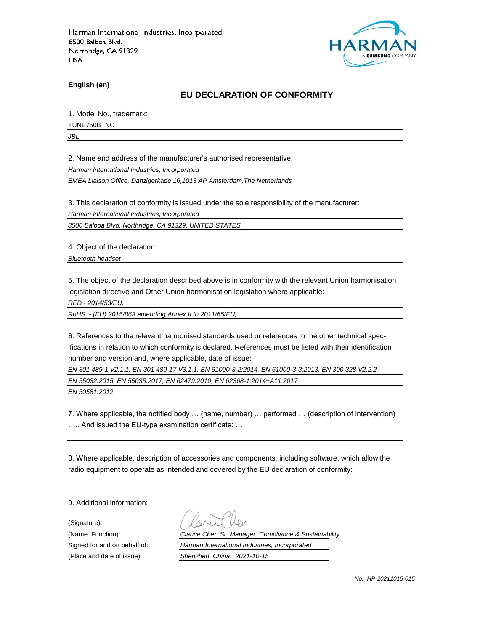

**English (en)**

### **EU DECLARATION OF CONFORMITY**

1. Model No., trademark:

TUNE750BTNC

*JBL*

2. Name and address of the manufacturer's authorised representative:

*Harman International Industries, Incorporated*

*EMEA Liaison Office, Danzigerkade 16,1013 AP Amsterdam,The Netherlands*

3. This declaration of conformity is issued under the sole responsibility of the manufacturer:

*Harman International Industries, Incorporated*

*8500 Balboa Blvd, Northridge, CA 91329, UNITED STATES*

4. Object of the declaration:

*Bluetooth headset*

5. The object of the declaration described above is in conformity with the relevant Union harmonisation legislation directive and Other Union harmonisation legislation where applicable:

*RED - 2014/53/EU,*

*RoHS - (EU) 2015/863 amending Annex II to 2011/65/EU,*

6. References to the relevant harmonised standards used or references to the other technical specifications in relation to which conformity is declared. References must be listed with their identification number and version and, where applicable, date of issue:

*EN 301 489-1 V2.1.1, EN 301 489-17 V3.1.1, EN 61000-3-2:2014, EN 61000-3-3:2013, EN 300 328 V2.2.2*

*EN 55032:2015, EN 55035:2017, EN 62479:2010, EN 62368-1:2014+A11:2017* 

*EN 50581:2012*

7. Where applicable, the notified body … (name, number) … performed … (description of intervention) ….. And issued the EU-type examination certificate: …

8. Where applicable, description of accessories and components, including software, which allow the radio equipment to operate as intended and covered by the EU declaration of conformity:

9. Additional information:

(Signature):

(Name. Function): *Clarice Chen Sr. Manager. Compliance & Sustainability* Signed for and on behalf of: *Harman International Industries, Incorporated* (Place and date of issue): *Shenzhen, China. 2021-10-15*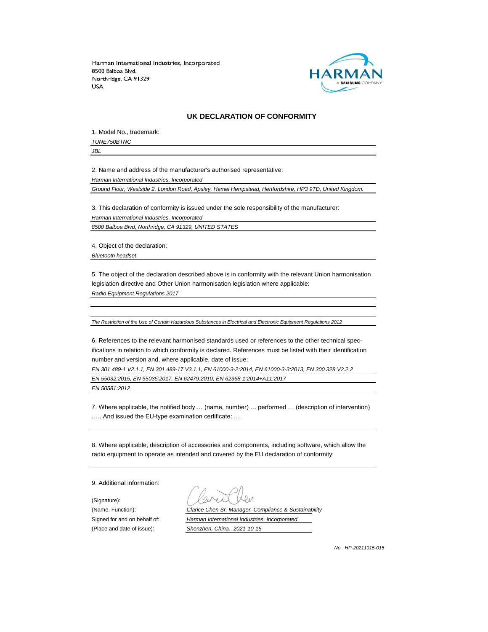

#### **UK DECLARATION OF CONFORMITY**

1. Model No., trademark: *TUNE750BTNC*

*JBL*

2. Name and address of the manufacturer's authorised representative:

*Harman International Industries, Incorporated*

*Ground Floor, Westside 2, London Road, Apsley, Hemel Hempstead, Hertfordshire, HP3 9TD, United Kingdom.*

3. This declaration of conformity is issued under the sole responsibility of the manufacturer: *Harman International Industries, Incorporated 8500 Balboa Blvd, Northridge, CA 91329, UNITED STATES*

4. Object of the declaration:

*Bluetooth headset*

5. The object of the declaration described above is in conformity with the relevant Union harmonisation legislation directive and Other Union harmonisation legislation where applicable:

*Radio Equipment Regulations 2017*

*The Restriction of the Use of Certain Hazardous Substances in Electrical and Electronic Equipment Regulations 2012*

6. References to the relevant harmonised standards used or references to the other technical specifications in relation to which conformity is declared. References must be listed with their identification number and version and, where applicable, date of issue:

*EN 301 489-1 V2.1.1, EN 301 489-17 V3.1.1, EN 61000-3-2:2014, EN 61000-3-3:2013, EN 300 328 V2.2.2 EN 55032:2015, EN 55035:2017, EN 62479:2010, EN 62368-1:2014+A11:2017 EN 50581:2012*

7. Where applicable, the notified body … (name, number) … performed … (description of intervention) ….. And issued the EU-type examination certificate: …

8. Where applicable, description of accessories and components, including software, which allow the radio equipment to operate as intended and covered by the EU declaration of conformity:

9. Additional information:

(Signature):

(Name. Function): *Clarice Chen Sr. Manager. Compliance & Sustainability* Signed for and on behalf of: *Harman International Industries, Incorporated* (Place and date of issue): *Shenzhen, China. 2021-10-15*

*No. HP-20211015-015*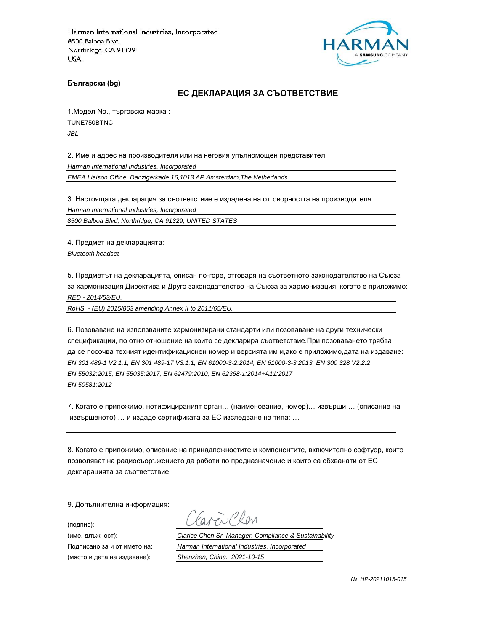

**Български (bg)**

#### **ЕС ДЕКЛАРАЦИЯ ЗА СЪОТВЕТСТВИЕ**

1.Модел No., търговска марка :

TUNE750BTNC

*JBL*

2. Име и адрес на производителя или на неговия упълномощен представител:

*Harman International Industries, Incorporated*

*EMEA Liaison Office, Danzigerkade 16,1013 AP Amsterdam,The Netherlands*

3. Настоящата декларация за съответствие е издадена на отговорността на производителя:

*Harman International Industries, Incorporated*

*8500 Balboa Blvd, Northridge, CA 91329, UNITED STATES*

4. Предмет на декларацията:

*Bluetooth headset*

5. Предметът на декларацията, описан по-горе, отговаря на съответното законодателство на Съюза за хармонизация Директива и Друго законодателство на Съюза за хармонизация, когато е приложимо: *RED - 2014/53/EU,*

*RoHS - (EU) 2015/863 amending Annex II to 2011/65/EU,*

6. Позоваване на използваните хармонизирани стандарти или позоваване на други технически спецификации, по отно отношение на които се декларира съответствие.При позоваването трябва да се посочва техният идентификационен номер и версията им и,ако е приложимо,дата на издаване: *EN 301 489-1 V2.1.1, EN 301 489-17 V3.1.1, EN 61000-3-2:2014, EN 61000-3-3:2013, EN 300 328 V2.2.2 EN 55032:2015, EN 55035:2017, EN 62479:2010, EN 62368-1:2014+A11:2017 EN 50581:2012*

7. Когато е приложимо, нотифицираният орган… (наименование, номер)… извърши … (описание на извършеното) … и издаде сертификата за ЕС изследване на типа: …

8. Когато е приложимо, описание на принадлежностите и компонентите, включително софтуер, които позволяват на радиосъоръжението да работи по предназначение и които са обхванати от ЕС декларацията за съответствие:

9. Допълнителна информация:

(подпис):

(място и дата на издаване): *Shenzhen, China. 2021-10-15*

aren Chen

(име, длъжност): *Clarice Chen Sr. Manager. Compliance & Sustainability*

Подписано за и от името на: *Harman International Industries, Incorporated*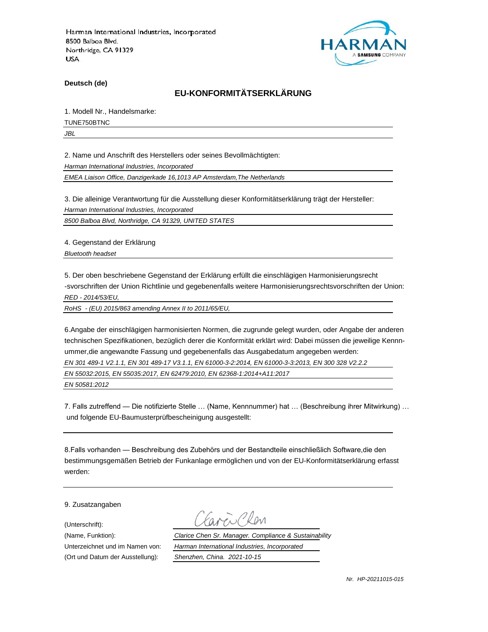

**Deutsch (de)**

# **EU-KONFORMITÄTSERKLÄRUNG**

1. Modell Nr., Handelsmarke:

TUNE750BTNC

*JBL*

2. Name und Anschrift des Herstellers oder seines Bevollmächtigten:

*Harman International Industries, Incorporated*

*EMEA Liaison Office, Danzigerkade 16,1013 AP Amsterdam,The Netherlands*

3. Die alleinige Verantwortung für die Ausstellung dieser Konformitätserklärung trägt der Hersteller:

*Harman International Industries, Incorporated*

*8500 Balboa Blvd, Northridge, CA 91329, UNITED STATES*

4. Gegenstand der Erklärung

*Bluetooth headset*

5. Der oben beschriebene Gegenstand der Erklärung erfüllt die einschlägigen Harmonisierungsrecht -svorschriften der Union Richtlinie und gegebenenfalls weitere Harmonisierungsrechtsvorschriften der Union: *RED - 2014/53/EU,*

*RoHS - (EU) 2015/863 amending Annex II to 2011/65/EU,*

6.Angabe der einschlägigen harmonisierten Normen, die zugrunde gelegt wurden, oder Angabe der anderen technischen Spezifikationen, bezüglich derer die Konformität erklärt wird: Dabei müssen die jeweilige Kennnummer,die angewandte Fassung und gegebenenfalls das Ausgabedatum angegeben werden: *EN 301 489-1 V2.1.1, EN 301 489-17 V3.1.1, EN 61000-3-2:2014, EN 61000-3-3:2013, EN 300 328 V2.2.2 EN 55032:2015, EN 55035:2017, EN 62479:2010, EN 62368-1:2014+A11:2017* 

*EN 50581:2012*

7. Falls zutreffend — Die notifizierte Stelle … (Name, Kennnummer) hat … (Beschreibung ihrer Mitwirkung) … und folgende EU-Baumusterprüfbescheinigung ausgestellt:

8.Falls vorhanden — Beschreibung des Zubehörs und der Bestandteile einschließlich Software,die den bestimmungsgemäßen Betrieb der Funkanlage ermöglichen und von der EU-Konformitätserklärung erfasst werden:

9. Zusatzangaben

(Unterschrift):

(Name, Funktion): *Clarice Chen Sr. Manager. Compliance & Sustainability* Unterzeichnet und im Namen von: *Harman International Industries, Incorporated* (Ort und Datum der Ausstellung): *Shenzhen, China. 2021-10-15*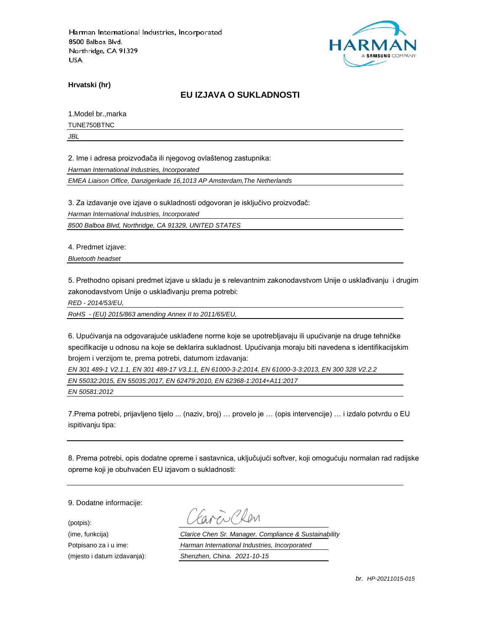

**Hrvatski (hr)**

### **EU IZJAVA O SUKLADNOSTI**

1.Model br.,marka

TUNE750BTNC

*JBL*

2. Ime i adresa proizvođača ili njegovog ovlaštenog zastupnika:

*Harman International Industries, Incorporated*

*EMEA Liaison Office, Danzigerkade 16,1013 AP Amsterdam,The Netherlands*

3. Za izdavanje ove izjave o sukladnosti odgovoran je isključivo proizvođač:

*Harman International Industries, Incorporated*

*8500 Balboa Blvd, Northridge, CA 91329, UNITED STATES*

4. Predmet izjave:

*Bluetooth headset*

5. Prethodno opisani predmet izjave u skladu je s relevantnim zakonodavstvom Unije o usklađivanju i drugim zakonodavstvom Unije o usklađivanju prema potrebi:

*RED - 2014/53/EU,*

*RoHS - (EU) 2015/863 amending Annex II to 2011/65/EU,*

6. Upućivanja na odgovarajuće usklađene norme koje se upotrebljavaju ili upućivanje na druge tehničke specifikacije u odnosu na koje se deklarira sukladnost. Upućivanja moraju biti navedena s identifikacijskim brojem i verzijom te, prema potrebi, datumom izdavanja:

*EN 301 489-1 V2.1.1, EN 301 489-17 V3.1.1, EN 61000-3-2:2014, EN 61000-3-3:2013, EN 300 328 V2.2.2*

*EN 55032:2015, EN 55035:2017, EN 62479:2010, EN 62368-1:2014+A11:2017* 

*EN 50581:2012*

7.Prema potrebi, prijavljeno tijelo ... (naziv, broj) … provelo je … (opis intervencije) … i izdalo potvrdu o EU ispitivanju tipa:

8. Prema potrebi, opis dodatne opreme i sastavnica, uključujući softver, koji omogućuju normalan rad radijske opreme koji je obuhvaćen EU izjavom o sukladnosti:

9. Dodatne informacije:

(potpis):

(ime, funkcija) *Clarice Chen Sr. Manager. Compliance & Sustainability* Potpisano za i u ime: *Harman International Industries, Incorporated* (mjesto i datum izdavanja): *Shenzhen, China. 2021-10-15*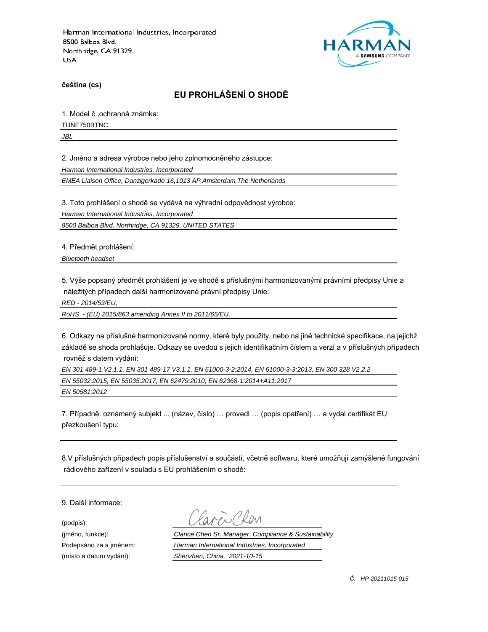

**čeština (cs)**

# **EU PROHLÁŠENÍ O SHODĚ**

1. Model č.,ochranná známka:

TUNE750BTNC

*JBL*

2. Jméno a adresa výrobce nebo jeho zplnomocněného zástupce:

*Harman International Industries, Incorporated*

*EMEA Liaison Office, Danzigerkade 16,1013 AP Amsterdam,The Netherlands*

3. Toto prohlášení o shodě se vydává na výhradní odpovědnost výrobce:

*Harman International Industries, Incorporated*

*8500 Balboa Blvd, Northridge, CA 91329, UNITED STATES*

4. Předmět prohlášení:

*Bluetooth headset*

5. Výše popsaný předmět prohlášení je ve shodě s příslušnými harmonizovanými právními předpisy Unie a náležitých případech další harmonizované právní předpisy Unie:

*RED - 2014/53/EU,*

*RoHS - (EU) 2015/863 amending Annex II to 2011/65/EU,*

6. Odkazy na příslušné harmonizované normy, které byly použity, nebo na jiné technické specifikace, na jejichž základě se shoda prohlašuje. Odkazy se uvedou s jejich identifikačním číslem a verzí a v příslušných případech rovněž s datem vydání:

*EN 301 489-1 V2.1.1, EN 301 489-17 V3.1.1, EN 61000-3-2:2014, EN 61000-3-3:2013, EN 300 328 V2.2.2 EN 55032:2015, EN 55035:2017, EN 62479:2010, EN 62368-1:2014+A11:2017 EN 50581:2012*

7. Případně: oznámený subjekt ... (název, číslo) … provedl … (popis opatření) … a vydal certifikát EU přezkoušení typu:

8.V příslušných případech popis příslušenství a součástí, včetně softwaru, které umožňují zamýšlené fungování rádiového zařízení v souladu s EU prohlášením o shodě:

9. Další informace:

(podpis):

(jméno, funkce): *Clarice Chen Sr. Manager. Compliance & Sustainability* Podepsáno za a jménem: *Harman International Industries, Incorporated* (místo a datum vydání): *Shenzhen, China. 2021-10-15*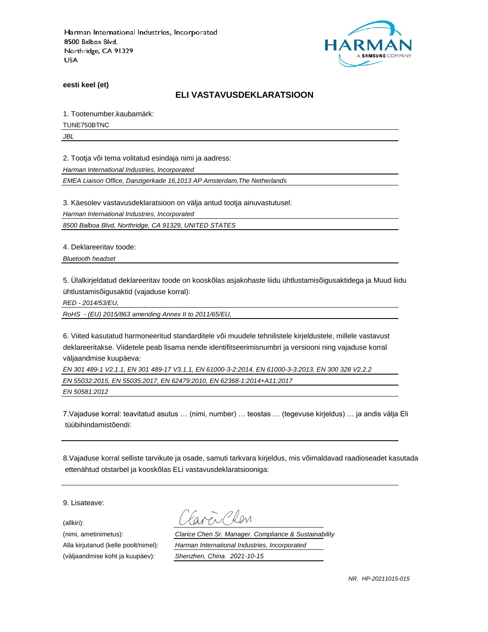

**eesti keel (et)**

#### **ELI VASTAVUSDEKLARATSIOON**

1. Tootenumber,kaubamärk:

TUNE750BTNC

*JBL*

2. Tootja või tema volitatud esindaja nimi ja aadress:

*Harman International Industries, Incorporated*

*EMEA Liaison Office, Danzigerkade 16,1013 AP Amsterdam,The Netherlands*

3. Käesolev vastavusdeklaratsioon on välja antud tootja ainuvastutusel:

*Harman International Industries, Incorporated*

*8500 Balboa Blvd, Northridge, CA 91329, UNITED STATES*

4. Deklareeritav toode:

*Bluetooth headset*

5. Ülalkirjeldatud deklareeritav toode on kooskõlas asjakohaste liidu ühtlustamisõigusaktidega ja Muud liidu ühtlustamisõigusaktid (vajaduse korral):

*RED - 2014/53/EU,*

*RoHS - (EU) 2015/863 amending Annex II to 2011/65/EU,*

6. Viited kasutatud harmoneeritud standarditele või muudele tehnilistele kirjeldustele, millele vastavust deklareeritakse. Viidetele peab lisama nende identifitseerimisnumbri ja versiooni ning vajaduse korral väljaandmise kuupäeva:

*EN 301 489-1 V2.1.1, EN 301 489-17 V3.1.1, EN 61000-3-2:2014, EN 61000-3-3:2013, EN 300 328 V2.2.2 EN 55032:2015, EN 55035:2017, EN 62479:2010, EN 62368-1:2014+A11:2017* 

*EN 50581:2012*

7.Vajaduse korral: teavitatud asutus … (nimi, number) … teostas … (tegevuse kirjeldus) … ja andis välja Eli tüübihindamistõendi:

8.Vajaduse korral selliste tarvikute ja osade, samuti tarkvara kirjeldus, mis võimaldavad raadioseadet kasutada ettenähtud otstarbel ja kooskõlas ELi vastavusdeklaratsiooniga:

9. Lisateave:

(allkiri):

(nimi, ametinimetus): *Clarice Chen Sr. Manager. Compliance & Sustainability* Alla kirjutanud (kelle poolt/nimel): *Harman International Industries, Incorporated* (väljaandmise koht ja kuupäev): *Shenzhen, China. 2021-10-15*

*NR. HP-20211015-015*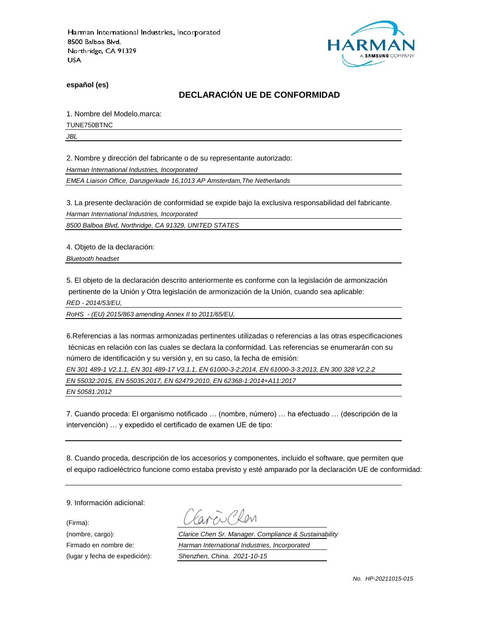

**español (es)**

## **DECLARACIÓN UE DE CONFORMIDAD**

1. Nombre del Modelo,marca:

TUNE750BTNC

*JBL*

2. Nombre y dirección del fabricante o de su representante autorizado:

*Harman International Industries, Incorporated*

*EMEA Liaison Office, Danzigerkade 16,1013 AP Amsterdam,The Netherlands*

3. La presente declaración de conformidad se expide bajo la exclusiva responsabilidad del fabricante.

*Harman International Industries, Incorporated*

*8500 Balboa Blvd, Northridge, CA 91329, UNITED STATES*

4. Objeto de la declaración:

*Bluetooth headset*

5. El objeto de la declaración descrito anteriormente es conforme con la legislación de armonización pertinente de la Unión y Otra legislación de armonización de la Unión, cuando sea aplicable:

*RED - 2014/53/EU,*

*RoHS - (EU) 2015/863 amending Annex II to 2011/65/EU,*

6.Referencias a las normas armonizadas pertinentes utilizadas o referencias a las otras especificaciones técnicas en relación con las cuales se declara la conformidad. Las referencias se enumerarán con su número de identificación y su versión y, en su caso, la fecha de emisión:

*EN 301 489-1 V2.1.1, EN 301 489-17 V3.1.1, EN 61000-3-2:2014, EN 61000-3-3:2013, EN 300 328 V2.2.2*

*EN 55032:2015, EN 55035:2017, EN 62479:2010, EN 62368-1:2014+A11:2017* 

*EN 50581:2012*

7. Cuando proceda: El organismo notificado … (nombre, número) … ha efectuado … (descripción de la intervención) … y expedido el certificado de examen UE de tipo:

8. Cuando proceda, descripción de los accesorios y componentes, incluido el software, que permiten que el equipo radioeléctrico funcione como estaba previsto y esté amparado por la declaración UE de conformidad:

9. Información adicional:

(Firma):

Plen

(nombre, cargo): *Clarice Chen Sr. Manager. Compliance & Sustainability* Firmado en nombre de: *Harman International Industries, Incorporated* (lugar y fecha de expedición): *Shenzhen, China. 2021-10-15*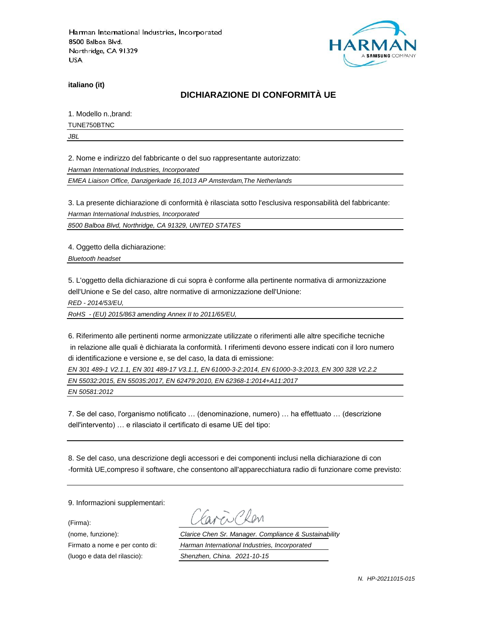

**italiano (it)**

## **DICHIARAZIONE DI CONFORMITÀ UE**

1. Modello n.,brand:

TUNE750BTNC

*JBL*

2. Nome e indirizzo del fabbricante o del suo rappresentante autorizzato:

*Harman International Industries, Incorporated*

*EMEA Liaison Office, Danzigerkade 16,1013 AP Amsterdam,The Netherlands*

3. La presente dichiarazione di conformità è rilasciata sotto l'esclusiva responsabilità del fabbricante:

*Harman International Industries, Incorporated*

*8500 Balboa Blvd, Northridge, CA 91329, UNITED STATES*

4. Oggetto della dichiarazione:

*Bluetooth headset*

5. L'oggetto della dichiarazione di cui sopra è conforme alla pertinente normativa di armonizzazione dell'Unione e Se del caso, altre normative di armonizzazione dell'Unione:

*RED - 2014/53/EU,*

*RoHS - (EU) 2015/863 amending Annex II to 2011/65/EU,*

6. Riferimento alle pertinenti norme armonizzate utilizzate o riferimenti alle altre specifiche tecniche in relazione alle quali è dichiarata la conformità. I riferimenti devono essere indicati con il loro numero di identificazione e versione e, se del caso, la data di emissione:

*EN 301 489-1 V2.1.1, EN 301 489-17 V3.1.1, EN 61000-3-2:2014, EN 61000-3-3:2013, EN 300 328 V2.2.2*

*EN 55032:2015, EN 55035:2017, EN 62479:2010, EN 62368-1:2014+A11:2017* 

*EN 50581:2012*

7. Se del caso, l'organismo notificato … (denominazione, numero) … ha effettuato … (descrizione dell'intervento) … e rilasciato il certificato di esame UE del tipo:

8. Se del caso, una descrizione degli accessori e dei componenti inclusi nella dichiarazione di con -formità UE,compreso il software, che consentono all'apparecchiatura radio di funzionare come previsto:

9. Informazioni supplementari:

(Firma):

(luogo e data del rilascio): *Shenzhen, China. 2021-10-15*

i Plan

(nome, funzione): *Clarice Chen Sr. Manager. Compliance & Sustainability* Firmato a nome e per conto di: *Harman International Industries, Incorporated*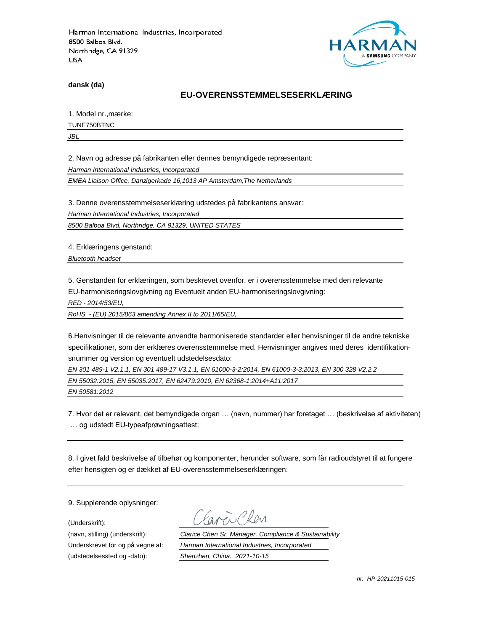

**dansk (da)**

#### **EU-OVERENSSTEMMELSESERKLÆ RING**

1. Model nr., mærke:

TUNE750BTNC

*JBL*

2. Navn og adresse på fabrikanten eller dennes bemyndigede repræ sentant:

*Harman International Industries, Incorporated*

*EMEA Liaison Office, Danzigerkade 16,1013 AP Amsterdam,The Netherlands*

3. Denne overensstemmelseserklæring udstedes på fabrikantens ansvar:

*Harman International Industries, Incorporated*

*8500 Balboa Blvd, Northridge, CA 91329, UNITED STATES*

4. Erklæringens genstand:

*Bluetooth headset*

5. Genstanden for erklæringen, som beskrevet ovenfor, er i overensstemmelse med den relevante EU-harmoniseringslovgivning og Eventuelt anden EU-harmoniseringslovgivning:

*RED - 2014/53/EU,*

*RoHS - (EU) 2015/863 amending Annex II to 2011/65/EU,*

6.Henvisninger til de relevante anvendte harmoniserede standarder eller henvisninger til de andre tekniske specifikationer, som der erklæres overensstemmelse med. Henvisninger angives med deres identifikationsnummer og version og eventuelt udstedelsesdato:

*EN 301 489-1 V2.1.1, EN 301 489-17 V3.1.1, EN 61000-3-2:2014, EN 61000-3-3:2013, EN 300 328 V2.2.2*

*EN 55032:2015, EN 55035:2017, EN 62479:2010, EN 62368-1:2014+A11:2017* 

*EN 50581:2012*

7. Hvor det er relevant, det bemyndigede organ … (navn, nummer) har foretaget … (beskrivelse af aktiviteten) … og udstedt EU-typeafprøvningsattest:

8. I givet fald beskrivelse af tilbehør og komponenter, herunder software, som får radioudstyret til at fungere efter hensigten og er dækket af EU-overensstemmelseserklæringen:

9. Supplerende oplysninger:

(Underskrift):

(udstedelsessted og -dato): *Shenzhen, China. 2021-10-15*

(navn, stilling) (underskrift): *Clarice Chen Sr. Manager. Compliance & Sustainability* Underskrevet for og på vegne af: *Harman International Industries, Incorporated*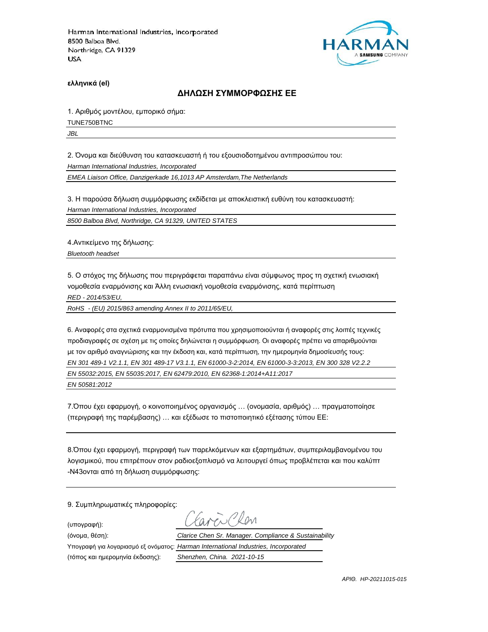

**ελληνικά (el)**

#### **ΔΗΛΩΣΗ ΣΥΜΜΟΡΦΩΣΗΣ ΕΕ**

1. Αριθμός μοντέλου, εμπορικό σήμα:

TUNE750BTNC

*JBL*

2. Όνομα και διεύθυνση του κατασκευαστή ή του εξουσιοδοτημένου αντιπροσώπου του:

*Harman International Industries, Incorporated*

*EMEA Liaison Office, Danzigerkade 16,1013 AP Amsterdam,The Netherlands*

3. Η παρούσα δήλωση συμμόρφωσης εκδίδεται με αποκλειστική ευθύνη του κατασκευαστή:

*Harman International Industries, Incorporated*

*8500 Balboa Blvd, Northridge, CA 91329, UNITED STATES*

4.Αντικείμενο της δήλωσης:

*Bluetooth headset*

5. Ο στόχος της δήλωσης που περιγράφεται παραπάνω είναι σύμφωνος προς τη σχετική ενωσιακή νομοθεσία εναρμόνισης και Άλλη ενωσιακή νομοθεσία εναρμόνισης, κατά περίπτωση

*RED - 2014/53/EU,*

*RoHS - (EU) 2015/863 amending Annex II to 2011/65/EU,*

6. Αναφορές στα σχετικά εναρμονισμένα πρότυπα που χρησιμοποιούνται ή αναφορές στις λοιπές τεχνικές προδιαγραφές σε σχέση με τις οποίες δηλώνεται η συμμόρφωση. Οι αναφορές πρέπει να απαριθμούνται με τον αριθμό αναγνώρισης και την έκδοση και, κατά περίπτωση, την ημερομηνία δημοσίευσής τους: *EN 301 489-1 V2.1.1, EN 301 489-17 V3.1.1, EN 61000-3-2:2014, EN 61000-3-3:2013, EN 300 328 V2.2.2 EN 55032:2015, EN 55035:2017, EN 62479:2010, EN 62368-1:2014+A11:2017 EN 50581:2012*

7.Όπου έχει εφαρμογή, ο κοινοποιημένος οργανισμός … (ονομασία, αριθμός) … πραγματοποίησε (περιγραφή της παρέμβασης) … και εξέδωσε το πιστοποιητικό εξέτασης τύπου ΕΕ:

8.Όπου έχει εφαρμογή, περιγραφή των παρελκόμενων και εξαρτημάτων, συμπεριλαμβανομένου του λογισμικού, που επιτρέπουν στον ραδιοεξοπλισμό να λειτουργεί όπως προβλέπεται και που καλύπτ -N43ονται από τη δήλωση συμμόρφωσης:

9. Συμπληρωματικές πληροφορίες:

(υπογραφή):

Υπογραφή για λογαριασμό εξ ονόματος: *Harman International Industries, Incorporated*

 $R_{\text{N}}$ (όνομα, θέση): *Clarice Chen Sr. Manager. Compliance & Sustainability*

(τόπος και ημερομηνία έκδοσης): *Shenzhen, China. 2021-10-15*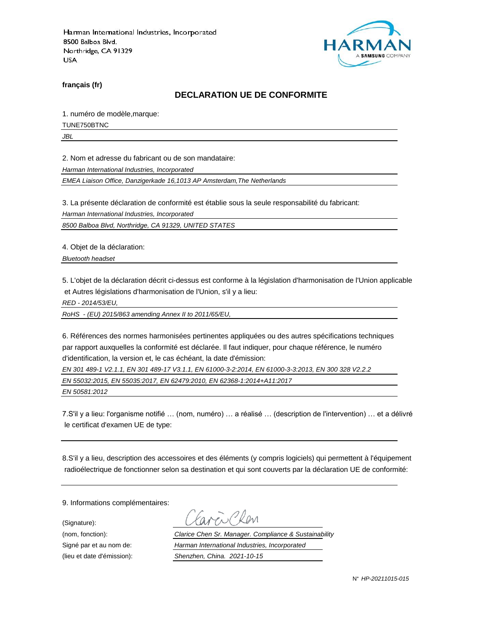

**français (fr)**

### **DECLARATION UE DE CONFORMITE**

1. numéro de modèle,marque:

TUNE750BTNC

*JBL*

2. Nom et adresse du fabricant ou de son mandataire:

*Harman International Industries, Incorporated*

*EMEA Liaison Office, Danzigerkade 16,1013 AP Amsterdam,The Netherlands*

3. La présente déclaration de conformité est établie sous la seule responsabilité du fabricant:

*Harman International Industries, Incorporated*

*8500 Balboa Blvd, Northridge, CA 91329, UNITED STATES*

4. Objet de la déclaration:

*Bluetooth headset*

5. L'objet de la déclaration décrit ci-dessus est conforme à la législation d'harmonisation de l'Union applicable et Autres législations d'harmonisation de l'Union, s'il y a lieu:

*RED - 2014/53/EU,*

*RoHS - (EU) 2015/863 amending Annex II to 2011/65/EU,*

6. Références des normes harmonisées pertinentes appliquées ou des autres spécifications techniques par rapport auxquelles la conformité est déclarée. Il faut indiquer, pour chaque référence, le numéro d'identification, la version et, le cas échéant, la date d'émission:

*EN 301 489-1 V2.1.1, EN 301 489-17 V3.1.1, EN 61000-3-2:2014, EN 61000-3-3:2013, EN 300 328 V2.2.2*

*EN 55032:2015, EN 55035:2017, EN 62479:2010, EN 62368-1:2014+A11:2017* 

*EN 50581:2012*

7.S'il y a lieu: l'organisme notifié … (nom, numéro) … a réalisé … (description de l'intervention) … et a délivré le certificat d'examen UE de type:

8.S'il y a lieu, description des accessoires et des éléments (y compris logiciels) qui permettent à l'équipement radioélectrique de fonctionner selon sa destination et qui sont couverts par la déclaration UE de conformité:

9. Informations complémentaires:

(Signature):

(nom, fonction): *Clarice Chen Sr. Manager. Compliance & Sustainability* Signé par et au nom de: *Harman International Industries, Incorporated* (lieu et date d'émission): *Shenzhen, China. 2021-10-15*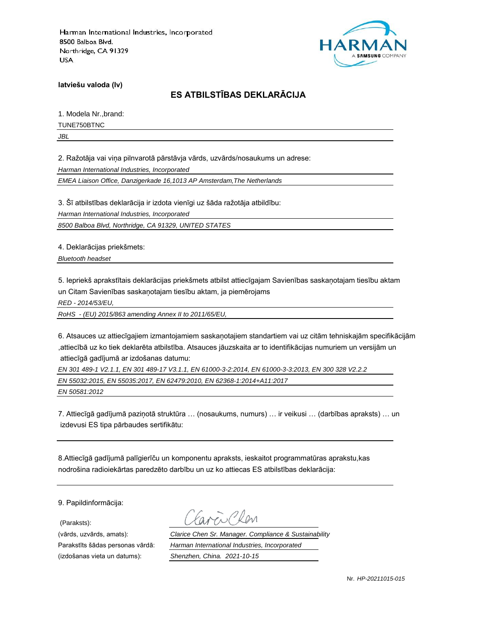

**latviešu valoda (lv)**

# **ES ATBILSTĪBAS DEKLARĀCIJA**

1. Modela Nr.,brand:

TUNE750BTNC

*JBL*

2. Ražotāja vai viņa pilnvarotā pārstāvja vārds, uzvārds/nosaukums un adrese:

*Harman International Industries, Incorporated*

*EMEA Liaison Office, Danzigerkade 16,1013 AP Amsterdam,The Netherlands*

3. Šī atbilstības deklarācija ir izdota vienīgi uz šāda ražotāja atbildību:

*Harman International Industries, Incorporated*

*8500 Balboa Blvd, Northridge, CA 91329, UNITED STATES*

4. Deklarācijas priekšmets:

*Bluetooth headset*

5. Iepriekš aprakstītais deklarācijas priekšmets atbilst attiecīgajam Savienības saskaņotajam tiesību aktam un Citam Savienības saskaņotajam tiesību aktam, ja piemērojams

*RED - 2014/53/EU,*

*RoHS - (EU) 2015/863 amending Annex II to 2011/65/EU,*

6. Atsauces uz attiecīgajiem izmantojamiem saskaņotajiem standartiem vai uz citām tehniskajām specifikācijām ,attiecībā uz ko tiek deklarēta atbilstība. Atsauces jāuzskaita ar to identifikācijas numuriem un versijām un attiecīgā gadījumā ar izdošanas datumu:

*EN 301 489-1 V2.1.1, EN 301 489-17 V3.1.1, EN 61000-3-2:2014, EN 61000-3-3:2013, EN 300 328 V2.2.2 EN 55032:2015, EN 55035:2017, EN 62479:2010, EN 62368-1:2014+A11:2017* 

*EN 50581:2012*

7. Attiecīgā gadījumā paziņotā struktūra … (nosaukums, numurs) … ir veikusi … (darbības apraksts) … un izdevusi ES tipa pārbaudes sertifikātu:

8.Attiecīgā gadījumā palīgierīču un komponentu apraksts, ieskaitot programmatūras aprakstu,kas nodrošina radioiekārtas paredzēto darbību un uz ko attiecas ES atbilstības deklarācija:

9. Papildinformācija:

(Paraksts):

(vārds, uzvārds, amats): *Clarice Chen Sr. Manager. Compliance & Sustainability* Parakstīts šādas personas vārdā: *Harman International Industries, Incorporated* (izdošanas vieta un datums): *Shenzhen, China. 2021-10-15*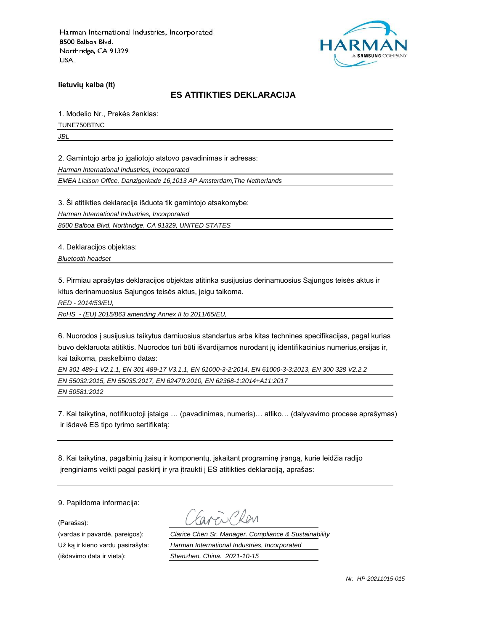

**lietuvių kalba (lt)**

#### **ES ATITIKTIES DEKLARACIJA**

1. Modelio Nr., Prekės ženklas:

TUNE750BTNC

*JBL*

2. Gamintojo arba jo įgaliotojo atstovo pavadinimas ir adresas:

*Harman International Industries, Incorporated*

*EMEA Liaison Office, Danzigerkade 16,1013 AP Amsterdam,The Netherlands*

3. Ši atitikties deklaracija išduota tik gamintojo atsakomybe:

*Harman International Industries, Incorporated*

*8500 Balboa Blvd, Northridge, CA 91329, UNITED STATES*

4. Deklaracijos objektas:

*Bluetooth headset*

5. Pirmiau aprašytas deklaracijos objektas atitinka susijusius derinamuosius Sąjungos teisės aktus ir kitus derinamuosius Sąjungos teisės aktus, jeigu taikoma.

*RED - 2014/53/EU,*

*RoHS - (EU) 2015/863 amending Annex II to 2011/65/EU,*

6. Nuorodos į susijusius taikytus darniuosius standartus arba kitas technines specifikacijas, pagal kurias buvo deklaruota atitiktis. Nuorodos turi būti išvardijamos nurodant jų identifikacinius numerius,ersijas ir, kai taikoma, paskelbimo datas:

*EN 301 489-1 V2.1.1, EN 301 489-17 V3.1.1, EN 61000-3-2:2014, EN 61000-3-3:2013, EN 300 328 V2.2.2*

*EN 55032:2015, EN 55035:2017, EN 62479:2010, EN 62368-1:2014+A11:2017* 

*EN 50581:2012*

7. Kai taikytina, notifikuotoji įstaiga … (pavadinimas, numeris)… atliko… (dalyvavimo procese aprašymas) ir išdavė ES tipo tyrimo sertifikatą:

8. Kai taikytina, pagalbinių įtaisų ir komponentų, įskaitant programinę įrangą, kurie leidžia radijo įrenginiams veikti pagal paskirtį ir yra įtraukti į ES atitikties deklaraciją, aprašas:

9. Papildoma informacija:

(Parašas):

(vardas ir pavardė, pareigos): *Clarice Chen Sr. Manager. Compliance & Sustainability* Už ką ir kieno vardu pasirašyta: *Harman International Industries, Incorporated* (išdavimo data ir vieta): *Shenzhen, China. 2021-10-15*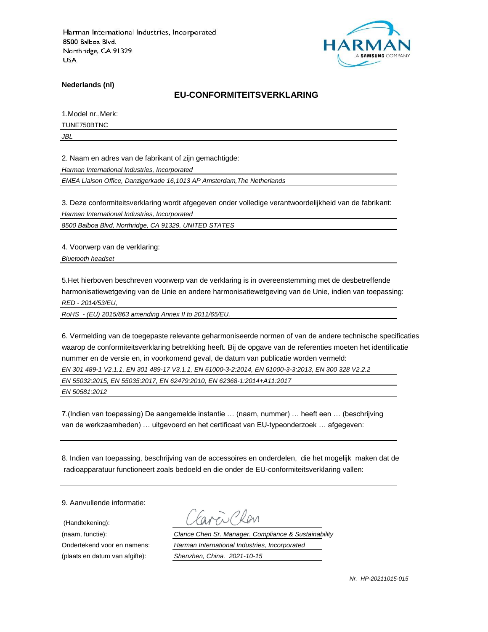

**Nederlands (nl)**

#### **EU-CONFORMITEITSVERKLARING**

1.Model nr.,Merk:

TUNE750BTNC

*JBL*

2. Naam en adres van de fabrikant of zijn gemachtigde:

*Harman International Industries, Incorporated*

*EMEA Liaison Office, Danzigerkade 16,1013 AP Amsterdam,The Netherlands*

3. Deze conformiteitsverklaring wordt afgegeven onder volledige verantwoordelijkheid van de fabrikant:

*Harman International Industries, Incorporated*

*8500 Balboa Blvd, Northridge, CA 91329, UNITED STATES*

4. Voorwerp van de verklaring:

*Bluetooth headset*

5.Het hierboven beschreven voorwerp van de verklaring is in overeenstemming met de desbetreffende harmonisatiewetgeving van de Unie en andere harmonisatiewetgeving van de Unie, indien van toepassing: *RED - 2014/53/EU,*

*RoHS - (EU) 2015/863 amending Annex II to 2011/65/EU,*

6. Vermelding van de toegepaste relevante geharmoniseerde normen of van de andere technische specificaties waarop de conformiteitsverklaring betrekking heeft. Bij de opgave van de referenties moeten het identificatie nummer en de versie en, in voorkomend geval, de datum van publicatie worden vermeld:

*EN 301 489-1 V2.1.1, EN 301 489-17 V3.1.1, EN 61000-3-2:2014, EN 61000-3-3:2013, EN 300 328 V2.2.2*

*EN 55032:2015, EN 55035:2017, EN 62479:2010, EN 62368-1:2014+A11:2017* 

*EN 50581:2012*

7.(Indien van toepassing) De aangemelde instantie … (naam, nummer) … heeft een … (beschrijving van de werkzaamheden) … uitgevoerd en het certificaat van EU-typeonderzoek … afgegeven:

8. Indien van toepassing, beschrijving van de accessoires en onderdelen, die het mogelijk maken dat de radioapparatuur functioneert zoals bedoeld en die onder de EU-conformiteitsverklaring vallen:

9. Aanvullende informatie:

(Handtekening):

(naam, functie): *Clarice Chen Sr. Manager. Compliance & Sustainability* Ondertekend voor en namens: *Harman International Industries, Incorporated* (plaats en datum van afgifte): *Shenzhen, China. 2021-10-15*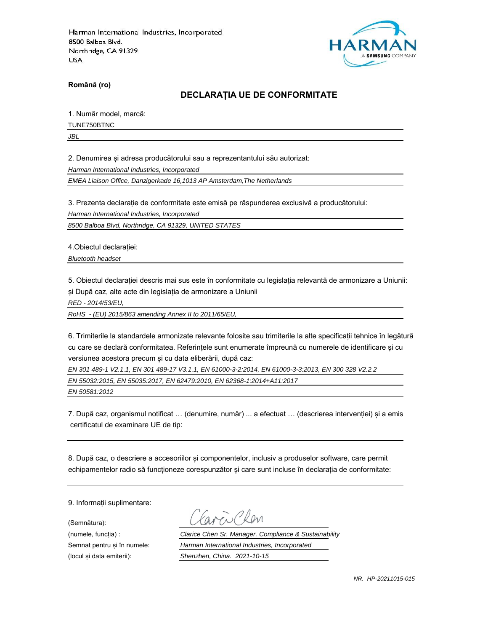

**Română (ro)**

## **DECLARAȚIA UE DE CONFORMITATE**

1. Număr model, marcă:

TUNE750BTNC

*JBL*

2. Denumirea și adresa producătorului sau a reprezentantului său autorizat:

*Harman International Industries, Incorporated*

*EMEA Liaison Office, Danzigerkade 16,1013 AP Amsterdam,The Netherlands*

3. Prezenta declarație de conformitate este emisă pe răspunderea exclusivă a producătorului:

*Harman International Industries, Incorporated*

*8500 Balboa Blvd, Northridge, CA 91329, UNITED STATES*

4.Obiectul declarației:

*Bluetooth headset*

5. Obiectul declarației descris mai sus este în conformitate cu legislația relevantă de armonizare a Uniunii: și După caz, alte acte din legislația de armonizare a Uniunii

*RED - 2014/53/EU,*

*RoHS - (EU) 2015/863 amending Annex II to 2011/65/EU,*

6. Trimiterile la standardele armonizate relevante folosite sau trimiterile la alte specificații tehnice în legătură cu care se declară conformitatea. Referințele sunt enumerate împreună cu numerele de identificare și cu versiunea acestora precum și cu data eliberării, după caz:

*EN 301 489-1 V2.1.1, EN 301 489-17 V3.1.1, EN 61000-3-2:2014, EN 61000-3-3:2013, EN 300 328 V2.2.2*

*EN 55032:2015, EN 55035:2017, EN 62479:2010, EN 62368-1:2014+A11:2017* 

*EN 50581:2012*

7. După caz, organismul notificat … (denumire, număr) ... a efectuat … (descrierea intervenției) și a emis certificatul de examinare UE de tip:

8. După caz, o descriere a accesoriilor și componentelor, inclusiv a produselor software, care permit echipamentelor radio să funcționeze corespunzător și care sunt incluse în declarația de conformitate:

9. Informații suplimentare:

(Semnătura):

(numele, funcția) : *Clarice Chen Sr. Manager. Compliance & Sustainability* Semnat pentru și în numele: *Harman International Industries, Incorporated* (locul și data emiterii): *Shenzhen, China. 2021-10-15*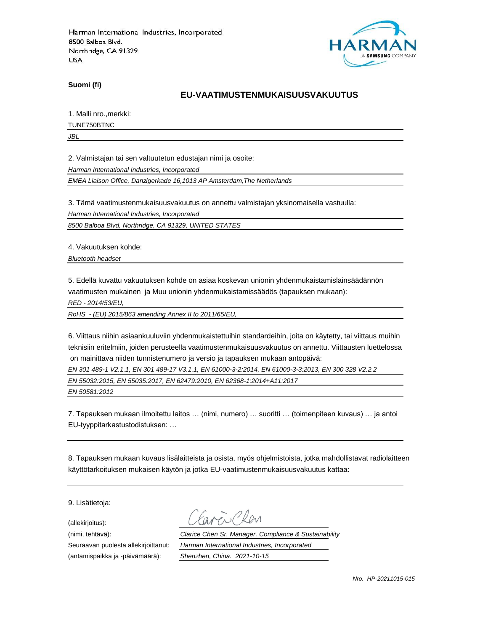

**Suomi (fi)**

### **EU-VAATIMUSTENMUKAISUUSVAKUUTUS**

1. Malli nro.,merkki:

TUNE750BTNC

*JBL*

2. Valmistajan tai sen valtuutetun edustajan nimi ja osoite:

*Harman International Industries, Incorporated*

*EMEA Liaison Office, Danzigerkade 16,1013 AP Amsterdam,The Netherlands*

3. Tämä vaatimustenmukaisuusvakuutus on annettu valmistajan yksinomaisella vastuulla:

*Harman International Industries, Incorporated*

*8500 Balboa Blvd, Northridge, CA 91329, UNITED STATES*

4. Vakuutuksen kohde:

*Bluetooth headset*

5. Edellä kuvattu vakuutuksen kohde on asiaa koskevan unionin yhdenmukaistamislainsäädännön vaatimusten mukainen ja Muu unionin yhdenmukaistamissäädös (tapauksen mukaan):

*RED - 2014/53/EU,*

*RoHS - (EU) 2015/863 amending Annex II to 2011/65/EU,*

6. Viittaus niihin asiaankuuluviin yhdenmukaistettuihin standardeihin, joita on käytetty, tai viittaus muihin teknisiin eritelmiin, joiden perusteella vaatimustenmukaisuusvakuutus on annettu. Viittausten luettelossa on mainittava niiden tunnistenumero ja versio ja tapauksen mukaan antopäivä:

*EN 301 489-1 V2.1.1, EN 301 489-17 V3.1.1, EN 61000-3-2:2014, EN 61000-3-3:2013, EN 300 328 V2.2.2*

*EN 55032:2015, EN 55035:2017, EN 62479:2010, EN 62368-1:2014+A11:2017* 

*EN 50581:2012*

7. Tapauksen mukaan ilmoitettu laitos … (nimi, numero) … suoritti … (toimenpiteen kuvaus) … ja antoi EU-tyyppitarkastustodistuksen: …

8. Tapauksen mukaan kuvaus lisälaitteista ja osista, myös ohjelmistoista, jotka mahdollistavat radiolaitteen käyttötarkoituksen mukaisen käytön ja jotka EU-vaatimustenmukaisuusvakuutus kattaa:

9. Lisätietoja:

(allekirjoitus):

(antamispaikka ja -päivämäärä): *Shenzhen, China. 2021-10-15*

(nimi, tehtävä): *Clarice Chen Sr. Manager. Compliance & Sustainability* Seuraavan puolesta allekirjoittanut: *Harman International Industries, Incorporated*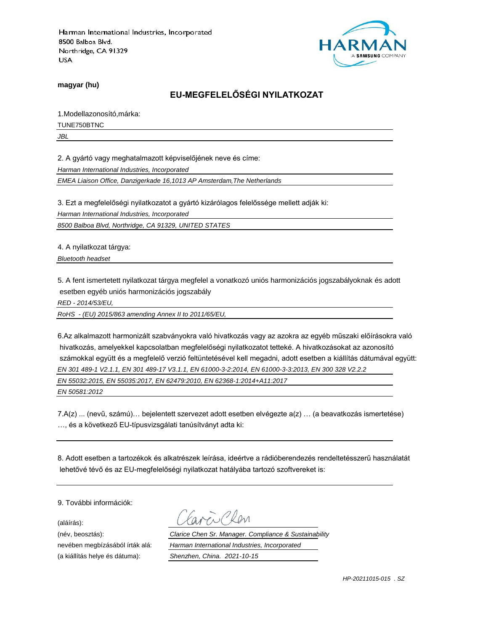

**magyar (hu)**

# **EU-MEGFELELŐSÉGI NYILATKOZAT**

1.Modellazonosító,márka:

TUNE750BTNC

*JBL*

2. A gyártó vagy meghatalmazott képviselőjének neve és címe:

*Harman International Industries, Incorporated*

*EMEA Liaison Office, Danzigerkade 16,1013 AP Amsterdam,The Netherlands*

3. Ezt a megfelelőségi nyilatkozatot a gyártó kizárólagos felelőssége mellett adják ki:

*Harman International Industries, Incorporated*

*8500 Balboa Blvd, Northridge, CA 91329, UNITED STATES*

4. A nyilatkozat tárgya:

*Bluetooth headset*

5. A fent ismertetett nyilatkozat tárgya megfelel a vonatkozó uniós harmonizációs jogszabályoknak és adott esetben egyéb uniós harmonizációs jogszabály

*RED - 2014/53/EU,*

*RoHS - (EU) 2015/863 amending Annex II to 2011/65/EU,*

6.Az alkalmazott harmonizált szabványokra való hivatkozás vagy az azokra az egyéb műszaki előírásokra való hivatkozás, amelyekkel kapcsolatban megfelelőségi nyilatkozatot tetteké. A hivatkozásokat az azonosító számokkal együtt és a megfelelő verzió feltüntetésével kell megadni, adott esetben a kiállítás dátumával együtt: *EN 301 489-1 V2.1.1, EN 301 489-17 V3.1.1, EN 61000-3-2:2014, EN 61000-3-3:2013, EN 300 328 V2.2.2 EN 55032:2015, EN 55035:2017, EN 62479:2010, EN 62368-1:2014+A11:2017* 

*EN 50581:2012*

7.A(z) ... (nevű, számú)… bejelentett szervezet adott esetben elvégezte a(z) … (a beavatkozás ismertetése) …, és a következő EU-típusvizsgálati tanúsítványt adta ki:

8. Adott esetben a tartozékok és alkatrészek leírása, ideértve a rádióberendezés rendeltetésszerű használatát lehetővé tévő és az EU-megfelelőségi nyilatkozat hatályába tartozó szoftvereket is:

9. További információk:

(aláírás):

(név, beosztás): *Clarice Chen Sr. Manager. Compliance & Sustainability* nevében megbízásából írták alá: *Harman International Industries, Incorporated* (a kiállítás helye és dátuma): *Shenzhen, China. 2021-10-15*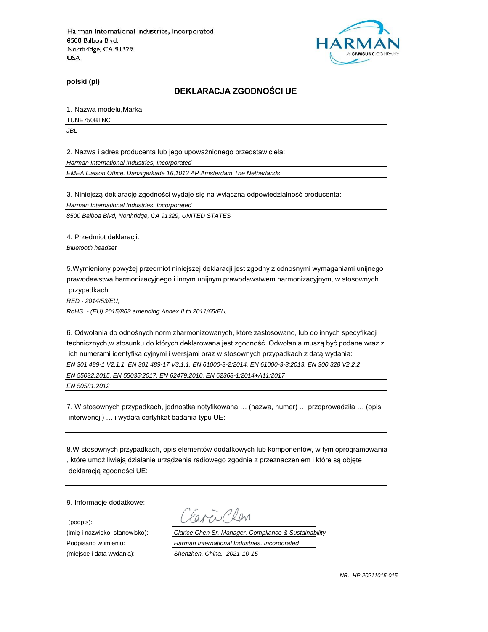

**polski (pl)**

#### **DEKLARACJA ZGODNOŚCI UE**

1. Nazwa modelu,Marka:

TUNE750BTNC

*JBL*

2. Nazwa i adres producenta lub jego upoważnionego przedstawiciela:

*Harman International Industries, Incorporated*

*EMEA Liaison Office, Danzigerkade 16,1013 AP Amsterdam,The Netherlands*

3. Niniejszą deklarację zgodności wydaje się na wyłączną odpowiedzialność producenta:

*Harman International Industries, Incorporated*

*8500 Balboa Blvd, Northridge, CA 91329, UNITED STATES*

4. Przedmiot deklaracji:

*Bluetooth headset*

5.Wymieniony powyżej przedmiot niniejszej deklaracji jest zgodny z odnośnymi wymaganiami unijnego prawodawstwa harmonizacyjnego i innym unijnym prawodawstwem harmonizacyjnym, w stosownych przypadkach:

*RED - 2014/53/EU,*

*RoHS - (EU) 2015/863 amending Annex II to 2011/65/EU,*

6. Odwołania do odnośnych norm zharmonizowanych, które zastosowano, lub do innych specyfikacji technicznych,w stosunku do których deklarowana jest zgodność. Odwołania muszą być podane wraz z ich numerami identyfika cyjnymi i wersjami oraz w stosownych przypadkach z datą wydania:

*EN 301 489-1 V2.1.1, EN 301 489-17 V3.1.1, EN 61000-3-2:2014, EN 61000-3-3:2013, EN 300 328 V2.2.2*

*EN 55032:2015, EN 55035:2017, EN 62479:2010, EN 62368-1:2014+A11:2017* 

*EN 50581:2012*

7. W stosownych przypadkach, jednostka notyfikowana … (nazwa, numer) … przeprowadziła … (opis interwencji) … i wydała certyfikat badania typu UE:

8.W stosownych przypadkach, opis elementów dodatkowych lub komponentów, w tym oprogramowania , które umoż liwiają działanie urządzenia radiowego zgodnie z przeznaczeniem i które są objęte deklaracją zgodności UE:

9. Informacje dodatkowe:

(podpis):

 $\sum$  Plan

(imię i nazwisko, stanowisko): *Clarice Chen Sr. Manager. Compliance & Sustainability* Podpisano w imieniu: *Harman International Industries, Incorporated* (miejsce i data wydania): *Shenzhen, China. 2021-10-15*

*NR. HP-20211015-015*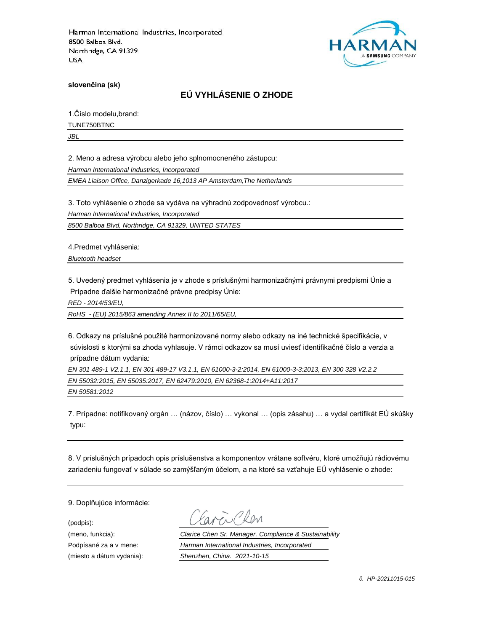

**slovenčina (sk)**

# **EÚ VYHLÁSENIE O ZHODE**

1.Číslo modelu,brand:

TUNE750BTNC

*JBL*

2. Meno a adresa výrobcu alebo jeho splnomocneného zástupcu:

*Harman International Industries, Incorporated*

*EMEA Liaison Office, Danzigerkade 16,1013 AP Amsterdam,The Netherlands*

3. Toto vyhlásenie o zhode sa vydáva na výhradnú zodpovednosť výrobcu.:

*Harman International Industries, Incorporated*

*8500 Balboa Blvd, Northridge, CA 91329, UNITED STATES*

4.Predmet vyhlásenia:

*Bluetooth headset*

5. Uvedený predmet vyhlásenia je v zhode s príslušnými harmonizačnými právnymi predpismi Únie a Prípadne ďalšie harmonizačné právne predpisy Únie:

*RED - 2014/53/EU,*

*RoHS - (EU) 2015/863 amending Annex II to 2011/65/EU,*

6. Odkazy na príslušné použité harmonizované normy alebo odkazy na iné technické špecifikácie, v súvislosti s ktorými sa zhoda vyhlasuje. V rámci odkazov sa musí uviesť identifikačné číslo a verzia a prípadne dátum vydania:

*EN 301 489-1 V2.1.1, EN 301 489-17 V3.1.1, EN 61000-3-2:2014, EN 61000-3-3:2013, EN 300 328 V2.2.2 EN 55032:2015, EN 55035:2017, EN 62479:2010, EN 62368-1:2014+A11:2017* 

*EN 50581:2012*

7. Prípadne: notifikovaný orgán … (názov, číslo) … vykonal … (opis zásahu) … a vydal certifikát EÚ skúšky typu:

8. V príslušných prípadoch opis príslušenstva a komponentov vrátane softvéru, ktoré umožňujú rádiovému zariadeniu fungovať v súlade so zamýšľaným účelom, a na ktoré sa vzťahuje EÚ vyhlásenie o zhode:

9. Doplňujúce informácie:

(podpis):

(meno, funkcia): *Clarice Chen Sr. Manager. Compliance & Sustainability* Podpísané za a v mene: *Harman International Industries, Incorporated* (miesto a dátum vydania): *Shenzhen, China. 2021-10-15*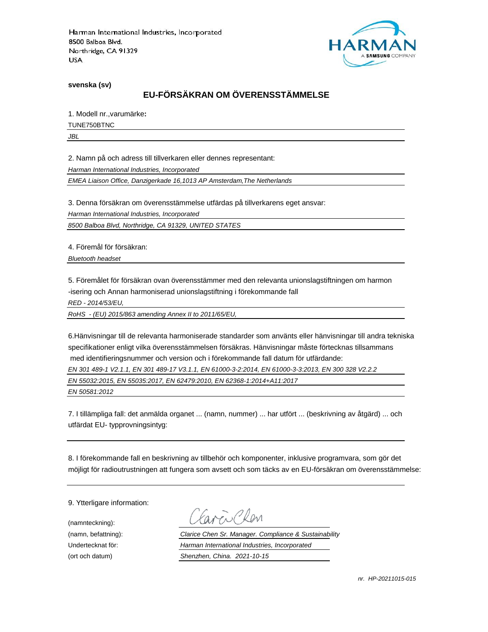

**svenska (sv)**

# **EU-FÖRSÄKRAN OM ÖVERENSSTÄMMELSE**

1. Modell nr.,varumärke**:**

TUNE750BTNC

*JBL*

2. Namn på och adress till tillverkaren eller dennes representant:

*Harman International Industries, Incorporated*

*EMEA Liaison Office, Danzigerkade 16,1013 AP Amsterdam,The Netherlands*

3. Denna försäkran om överensstämmelse utfärdas på tillverkarens eget ansvar:

*Harman International Industries, Incorporated*

*8500 Balboa Blvd, Northridge, CA 91329, UNITED STATES*

4. Föremål för försäkran:

*Bluetooth headset*

5. Föremålet för försäkran ovan överensstämmer med den relevanta unionslagstiftningen om harmon -isering och Annan harmoniserad unionslagstiftning i förekommande fall

*RED - 2014/53/EU,*

*RoHS - (EU) 2015/863 amending Annex II to 2011/65/EU,*

6.Hänvisningar till de relevanta harmoniserade standarder som använts eller hänvisningar till andra tekniska specifikationer enligt vilka överensstämmelsen försäkras. Hänvisningar måste förtecknas tillsammans med identifieringsnummer och version och i förekommande fall datum för utfärdande:

*EN 301 489-1 V2.1.1, EN 301 489-17 V3.1.1, EN 61000-3-2:2014, EN 61000-3-3:2013, EN 300 328 V2.2.2*

*EN 55032:2015, EN 55035:2017, EN 62479:2010, EN 62368-1:2014+A11:2017* 

*EN 50581:2012*

7. I tillämpliga fall: det anmälda organet ... (namn, nummer) ... har utfört ... (beskrivning av åtgärd) ... och utfärdat EU- typprovningsintyg:

8. I förekommande fall en beskrivning av tillbehör och komponenter, inklusive programvara, som gör det möjligt för radioutrustningen att fungera som avsett och som täcks av en EU-försäkran om överensstämmelse:

9. Ytterligare information:

(namnteckning):

EN Plen

(namn, befattning): *Clarice Chen Sr. Manager. Compliance & Sustainability* Undertecknat för: *Harman International Industries, Incorporated* (ort och datum) *Shenzhen, China. 2021-10-15*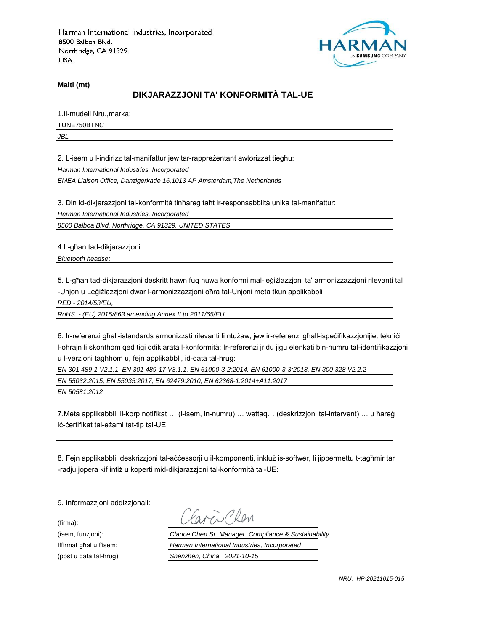

**Malti (mt)**

## **DIKJARAZZJONI TA' KONFORMITÀ TAL-UE**

1.Il-mudell Nru.,marka: TUNE750BTNC

*JBL*

2. L-isem u l-indirizz tal-manifattur jew tar-rappreżentant awtorizzat tiegħu:

*Harman International Industries, Incorporated*

*EMEA Liaison Office, Danzigerkade 16,1013 AP Amsterdam,The Netherlands*

3. Din id-dikjarazzjoni tal-konformità tinħareg taħt ir-responsabbiltà unika tal-manifattur:

*Harman International Industries, Incorporated*

*8500 Balboa Blvd, Northridge, CA 91329, UNITED STATES*

4.L-għan tad-dikjarazzjoni:

*Bluetooth headset*

5. L-għan tad-dikjarazzjoni deskritt hawn fuq huwa konformi mal-leġiżlazzjoni ta' armonizzazzjoni rilevanti tal -Unjon u Leġiżlazzjoni dwar l-armonizzazzjoni oħra tal-Unjoni meta tkun applikabbli

*RED - 2014/53/EU,*

*RoHS - (EU) 2015/863 amending Annex II to 2011/65/EU,*

6. Ir-referenzi għall-istandards armonizzati rilevanti li ntużaw, jew ir-referenzi għall-ispeċifikazzjonijiet tekniċi l-oħrajn li skonthom qed tiġi ddikjarata l-konformità: Ir-referenzi jridu jiġu elenkati bin-numru tal-identifikazzjoni u l-verżjoni tagħhom u, fejn applikabbli, id-data tal-ħruġ:

*EN 301 489-1 V2.1.1, EN 301 489-17 V3.1.1, EN 61000-3-2:2014, EN 61000-3-3:2013, EN 300 328 V2.2.2*

*EN 55032:2015, EN 55035:2017, EN 62479:2010, EN 62368-1:2014+A11:2017* 

*EN 50581:2012*

7.Meta applikabbli, il-korp notifikat … (l-isem, in-numru) … wettaq… (deskrizzjoni tal-intervent) … u ħareġ iċ-ċertifikat tal-eżami tat-tip tal-UE:

8. Fejn applikabbli, deskrizzjoni tal-aċċessorji u il-komponenti, inkluż is-softwer, li jippermettu t-tagħmir tar -radju jopera kif intiż u koperti mid-dikjarazzjoni tal-konformità tal-UE:

9. Informazzjoni addizzjonali:

(firma):

EN CRON

(isem, funzjoni): *Clarice Chen Sr. Manager. Compliance & Sustainability* Iffirmat għal u f'isem: *Harman International Industries, Incorporated* (post u data tal-ħruġ): *Shenzhen, China. 2021-10-15*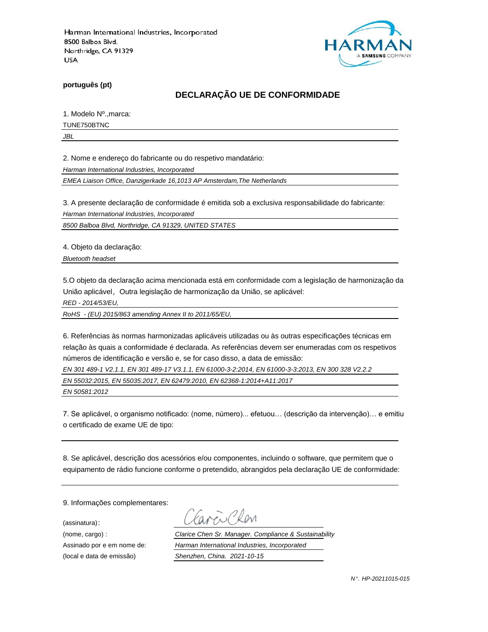

**português (pt)**

## **DECLARAÇÃO UE DE CONFORMIDADE**

1. Modelo Nº.,marca:

TUNE750BTNC

*JBL*

2. Nome e endereço do fabricante ou do respetivo mandatário:

*Harman International Industries, Incorporated*

*EMEA Liaison Office, Danzigerkade 16,1013 AP Amsterdam,The Netherlands*

3. A presente declaração de conformidade é emitida sob a exclusiva responsabilidade do fabricante:

*Harman International Industries, Incorporated*

*8500 Balboa Blvd, Northridge, CA 91329, UNITED STATES*

4. Objeto da declaração:

*Bluetooth headset*

5.O objeto da declaração acima mencionada está em conformidade com a legislação de harmonização da União aplicável, Outra legislação de harmonização da União, se aplicável:

*RED - 2014/53/EU,*

*RoHS - (EU) 2015/863 amending Annex II to 2011/65/EU,*

6. Referências às normas harmonizadas aplicáveis utilizadas ou às outras especificações técnicas em relação às quais a conformidade é declarada. As referências devem ser enumeradas com os respetivos números de identificação e versão e, se for caso disso, a data de emissão:

*EN 301 489-1 V2.1.1, EN 301 489-17 V3.1.1, EN 61000-3-2:2014, EN 61000-3-3:2013, EN 300 328 V2.2.2*

*EN 55032:2015, EN 55035:2017, EN 62479:2010, EN 62368-1:2014+A11:2017* 

*EN 50581:2012*

7. Se aplicável, o organismo notificado: (nome, número)... efetuou… (descrição da intervenção)… e emitiu o certificado de exame UE de tipo:

8. Se aplicável, descrição dos acessórios e/ou componentes, incluindo o software, que permitem que o equipamento de rádio funcione conforme o pretendido, abrangidos pela declaração UE de conformidade:

9. Informações complementares:

(assinatura):

Chen

(nome, cargo) : *Clarice Chen Sr. Manager. Compliance & Sustainability* Assinado por e em nome de: *Harman International Industries, Incorporated* (local e data de emissão) *Shenzhen, China. 2021-10-15*